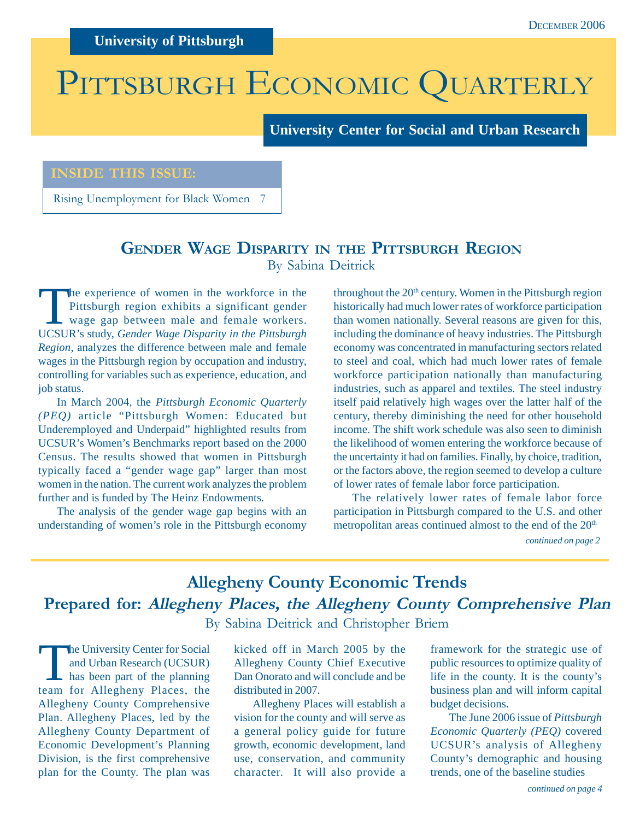**University of Pittsburgh**

# PITTSBURGH ECONOMIC QUARTERLY

**University Center for Social and Urban Research**

### **INSIDE THIS ISSUE:**

Rising Unemployment for Black Women 7

### **GENDER WAGE DISPARITY IN THE PITTSBURGH REGION** By Sabina Deitrick

The experience of women in the workforce in the<br>
Pittsburgh region exhibits a significant gender<br>
wage gap between male and female workers.<br>
HCSHP's study Gandar Wage Disparity in the Bittsburgh Pittsburgh region exhibits a significant gender UCSUR's study, *Gender Wage Disparity in the Pittsburgh Region*, analyzes the difference between male and female wages in the Pittsburgh region by occupation and industry, controlling for variables such as experience, education, and job status.

In March 2004, the *Pittsburgh Economic Quarterly (PEQ)* article "Pittsburgh Women: Educated but Underemployed and Underpaid" highlighted results from UCSUR's Women's Benchmarks report based on the 2000 Census. The results showed that women in Pittsburgh typically faced a "gender wage gap" larger than most women in the nation. The current work analyzes the problem further and is funded by The Heinz Endowments.

The analysis of the gender wage gap begins with an understanding of women's role in the Pittsburgh economy throughout the 20<sup>th</sup> century. Women in the Pittsburgh region historically had much lower rates of workforce participation than women nationally. Several reasons are given for this, including the dominance of heavy industries. The Pittsburgh economy was concentrated in manufacturing sectors related to steel and coal, which had much lower rates of female workforce participation nationally than manufacturing industries, such as apparel and textiles. The steel industry itself paid relatively high wages over the latter half of the century, thereby diminishing the need for other household income. The shift work schedule was also seen to diminish the likelihood of women entering the workforce because of the uncertainty it had on families. Finally, by choice, tradition, or the factors above, the region seemed to develop a culture of lower rates of female labor force participation.

The relatively lower rates of female labor force participation in Pittsburgh compared to the U.S. and other metropolitan areas continued almost to the end of the 20<sup>th</sup>

*continued on page 2*

### **Allegheny County Economic Trends Prepared for: Allegheny Places, the Allegheny County Comprehensive Plan** By Sabina Deitrick and Christopher Briem

The University Center for Social<br>and Urban Research (UCSUR)<br>has been part of the planning<br>team for Alleghany Places, the and Urban Research (UCSUR) has been part of the planning team for Allegheny Places, the Allegheny County Comprehensive Plan. Allegheny Places, led by the Allegheny County Department of Economic Development's Planning Division, is the first comprehensive plan for the County. The plan was

kicked off in March 2005 by the Allegheny County Chief Executive Dan Onorato and will conclude and be distributed in 2007.

Allegheny Places will establish a vision for the county and will serve as a general policy guide for future growth, economic development, land use, conservation, and community character. It will also provide a

framework for the strategic use of public resources to optimize quality of life in the county. It is the county's business plan and will inform capital budget decisions.

The June 2006 issue of *Pittsburgh Economic Quarterly (PEQ)* covered UCSUR's analysis of Allegheny County's demographic and housing trends, one of the baseline studies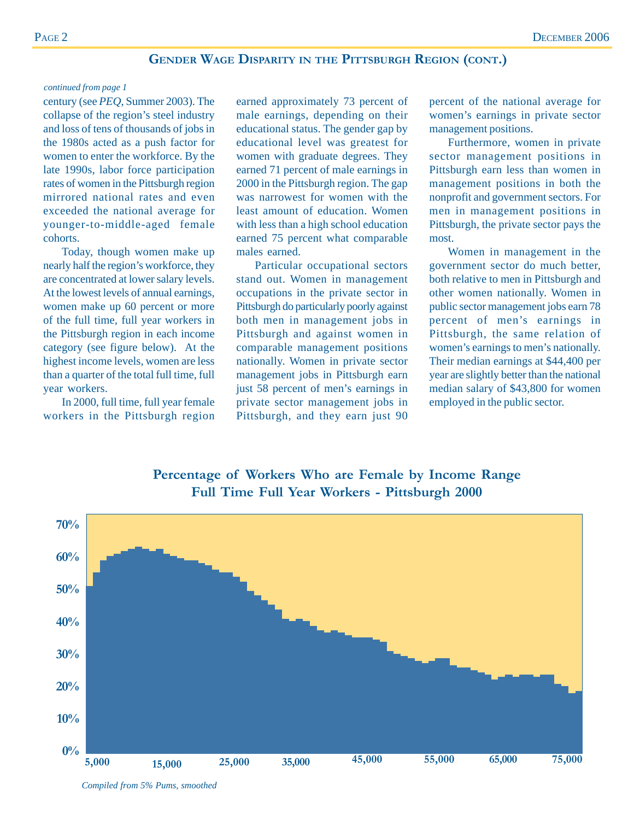### **GENDER WAGE DISPARITY IN THE PITTSBURGH REGION (CONT.)**

#### *continued from page 1*

century (see *PEQ*, Summer 2003). The collapse of the region's steel industry and loss of tens of thousands of jobs in the 1980s acted as a push factor for women to enter the workforce. By the late 1990s, labor force participation rates of women in the Pittsburgh region mirrored national rates and even exceeded the national average for younger-to-middle-aged female cohorts.

Today, though women make up nearly half the region's workforce, they are concentrated at lower salary levels. At the lowest levels of annual earnings, women make up 60 percent or more of the full time, full year workers in the Pittsburgh region in each income category (see figure below). At the highest income levels, women are less than a quarter of the total full time, full year workers.

In 2000, full time, full year female workers in the Pittsburgh region earned approximately 73 percent of male earnings, depending on their educational status. The gender gap by educational level was greatest for women with graduate degrees. They earned 71 percent of male earnings in 2000 in the Pittsburgh region. The gap was narrowest for women with the least amount of education. Women with less than a high school education earned 75 percent what comparable males earned.

Particular occupational sectors stand out. Women in management occupations in the private sector in Pittsburgh do particularly poorly against both men in management jobs in Pittsburgh and against women in comparable management positions nationally. Women in private sector management jobs in Pittsburgh earn just 58 percent of men's earnings in private sector management jobs in Pittsburgh, and they earn just 90

percent of the national average for women's earnings in private sector management positions.

Furthermore, women in private sector management positions in Pittsburgh earn less than women in management positions in both the nonprofit and government sectors. For men in management positions in Pittsburgh, the private sector pays the most.

Women in management in the government sector do much better, both relative to men in Pittsburgh and other women nationally. Women in public sector management jobs earn 78 percent of men's earnings in Pittsburgh, the same relation of women's earnings to men's nationally. Their median earnings at \$44,400 per year are slightly better than the national median salary of \$43,800 for women employed in the public sector.



**Percentage of Workers Who are Female by Income Range Full Time Full Year Workers - Pittsburgh 2000**

*Compiled from 5% Pums, smoothed*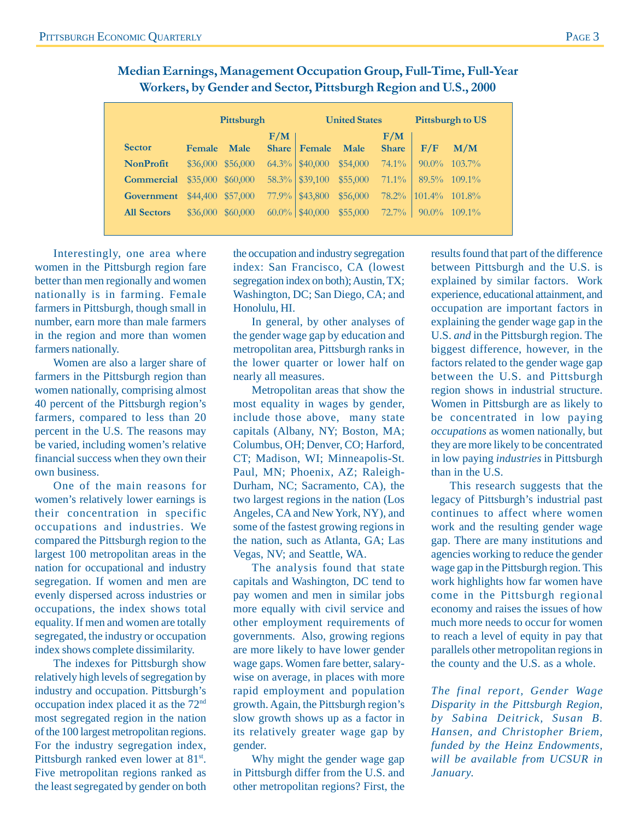|                    | Pittsburgh    |             |              | <b>United States</b> |          |              | <b>Pittsburgh to US</b> |           |
|--------------------|---------------|-------------|--------------|----------------------|----------|--------------|-------------------------|-----------|
|                    |               |             | F/M          |                      |          | F/M          |                         |           |
| <b>Sector</b>      | <b>Female</b> | <b>Male</b> | <b>Share</b> | Female               | Male     | <b>Share</b> | F/F                     | M/M       |
| <b>NonProfit</b>   | \$36,000      | \$56,000    | $64.3\%$     | \$40,000             | \$54,000 | $74.1\%$     | $90.0\%$                | $103.7\%$ |
| <b>Commercial</b>  | \$35,000      | \$60,000    | $58.3\%$     | \$39,100             | \$55,000 | $71.1\%$     | $89.5\%$                | $109.1\%$ |
| Government         | \$44,400      | \$57,000    | 77.9%        | \$43,800             | \$56,000 | 78.2%        | $101.4\%$               | $101.8\%$ |
| <b>All Sectors</b> | \$36,000      | \$60,000    | $60.0\%$     | \$40,000             | \$55,000 | $72.7\%$     | $90.0\%$                | $109.1\%$ |

**Median Earnings, Management Occupation Group, Full-Time, Full-Year Workers, by Gender and Sector, Pittsburgh Region and U.S., 2000**

Interestingly, one area where women in the Pittsburgh region fare better than men regionally and women nationally is in farming. Female farmers in Pittsburgh, though small in number, earn more than male farmers in the region and more than women farmers nationally.

Women are also a larger share of farmers in the Pittsburgh region than women nationally, comprising almost 40 percent of the Pittsburgh region's farmers, compared to less than 20 percent in the U.S. The reasons may be varied, including women's relative financial success when they own their own business.

One of the main reasons for women's relatively lower earnings is their concentration in specific occupations and industries. We compared the Pittsburgh region to the largest 100 metropolitan areas in the nation for occupational and industry segregation. If women and men are evenly dispersed across industries or occupations, the index shows total equality. If men and women are totally segregated, the industry or occupation index shows complete dissimilarity.

The indexes for Pittsburgh show relatively high levels of segregation by industry and occupation. Pittsburgh's occupation index placed it as the 72nd most segregated region in the nation of the 100 largest metropolitan regions. For the industry segregation index, Pittsburgh ranked even lower at 81<sup>st</sup>. Five metropolitan regions ranked as the least segregated by gender on both

the occupation and industry segregation index: San Francisco, CA (lowest segregation index on both); Austin, TX; Washington, DC; San Diego, CA; and Honolulu, HI.

In general, by other analyses of the gender wage gap by education and metropolitan area, Pittsburgh ranks in the lower quarter or lower half on nearly all measures.

Metropolitan areas that show the most equality in wages by gender, include those above, many state capitals (Albany, NY; Boston, MA; Columbus, OH; Denver, CO; Harford, CT; Madison, WI; Minneapolis-St. Paul, MN; Phoenix, AZ; Raleigh-Durham, NC; Sacramento, CA), the two largest regions in the nation (Los Angeles, CA and New York, NY), and some of the fastest growing regions in the nation, such as Atlanta, GA; Las Vegas, NV; and Seattle, WA.

The analysis found that state capitals and Washington, DC tend to pay women and men in similar jobs more equally with civil service and other employment requirements of governments. Also, growing regions are more likely to have lower gender wage gaps. Women fare better, salarywise on average, in places with more rapid employment and population growth. Again, the Pittsburgh region's slow growth shows up as a factor in its relatively greater wage gap by gender.

Why might the gender wage gap in Pittsburgh differ from the U.S. and other metropolitan regions? First, the

results found that part of the difference between Pittsburgh and the U.S. is explained by similar factors. Work experience, educational attainment, and occupation are important factors in explaining the gender wage gap in the U.S. *and* in the Pittsburgh region. The biggest difference, however, in the factors related to the gender wage gap between the U.S. and Pittsburgh region shows in industrial structure. Women in Pittsburgh are as likely to be concentrated in low paying *occupations* as women nationally, but they are more likely to be concentrated in low paying *industries* in Pittsburgh than in the U.S.

This research suggests that the legacy of Pittsburgh's industrial past continues to affect where women work and the resulting gender wage gap. There are many institutions and agencies working to reduce the gender wage gap in the Pittsburgh region. This work highlights how far women have come in the Pittsburgh regional economy and raises the issues of how much more needs to occur for women to reach a level of equity in pay that parallels other metropolitan regions in the county and the U.S. as a whole.

*The final report, Gender Wage Disparity in the Pittsburgh Region, by Sabina Deitrick, Susan B. Hansen, and Christopher Briem, funded by the Heinz Endowments, will be available from UCSUR in January.*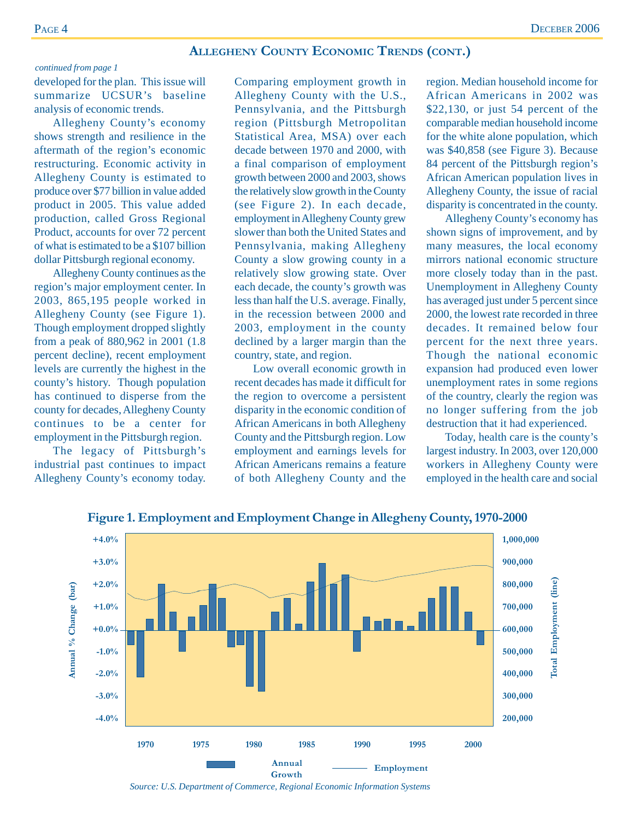#### **ALLEGHENY COUNTY ECONOMIC TRENDS (CONT.)**

#### *continued from page 1*

developed for the plan. This issue will summarize UCSUR's baseline analysis of economic trends.

Allegheny County's economy shows strength and resilience in the aftermath of the region's economic restructuring. Economic activity in Allegheny County is estimated to produce over \$77 billion in value added product in 2005. This value added production, called Gross Regional Product, accounts for over 72 percent of what is estimated to be a \$107 billion dollar Pittsburgh regional economy.

Allegheny County continues as the region's major employment center. In 2003, 865,195 people worked in Allegheny County (see Figure 1). Though employment dropped slightly from a peak of 880,962 in 2001 (1.8 percent decline), recent employment levels are currently the highest in the county's history. Though population has continued to disperse from the county for decades, Allegheny County continues to be a center for employment in the Pittsburgh region.

The legacy of Pittsburgh's industrial past continues to impact Allegheny County's economy today. Comparing employment growth in Allegheny County with the U.S., Pennsylvania, and the Pittsburgh region (Pittsburgh Metropolitan Statistical Area, MSA) over each decade between 1970 and 2000, with a final comparison of employment growth between 2000 and 2003, shows the relatively slow growth in the County (see Figure 2). In each decade, employment in Allegheny County grew slower than both the United States and Pennsylvania, making Allegheny County a slow growing county in a relatively slow growing state. Over each decade, the county's growth was less than half the U.S. average. Finally, in the recession between 2000 and 2003, employment in the county declined by a larger margin than the country, state, and region.

Low overall economic growth in recent decades has made it difficult for the region to overcome a persistent disparity in the economic condition of African Americans in both Allegheny County and the Pittsburgh region. Low employment and earnings levels for African Americans remains a feature of both Allegheny County and the

region. Median household income for African Americans in 2002 was \$22,130, or just 54 percent of the comparable median household income for the white alone population, which was \$40,858 (see Figure 3). Because 84 percent of the Pittsburgh region's African American population lives in Allegheny County, the issue of racial disparity is concentrated in the county.

Allegheny County's economy has shown signs of improvement, and by many measures, the local economy mirrors national economic structure more closely today than in the past. Unemployment in Allegheny County has averaged just under 5 percent since 2000, the lowest rate recorded in three decades. It remained below four percent for the next three years. Though the national economic expansion had produced even lower unemployment rates in some regions of the country, clearly the region was no longer suffering from the job destruction that it had experienced.

Today, health care is the county's largest industry. In 2003, over 120,000 workers in Allegheny County were employed in the health care and social



**Figure 1. Employment and Employment Change in Allegheny County, 1970-2000**

*Source: U.S. Department of Commerce, Regional Economic Information Systems*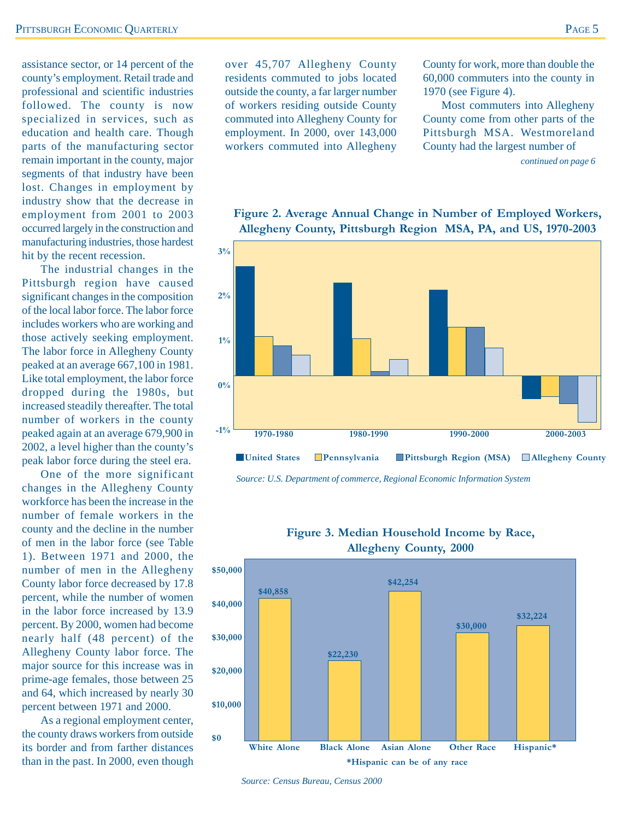assistance sector, or 14 percent of the county's employment. Retail trade and professional and scientific industries followed. The county is now specialized in services, such as education and health care. Though parts of the manufacturing sector remain important in the county, major segments of that industry have been lost. Changes in employment by industry show that the decrease in employment from 2001 to 2003 occurred largely in the construction and manufacturing industries, those hardest hit by the recent recession.

The industrial changes in the Pittsburgh region have caused significant changes in the composition of the local labor force. The labor force includes workers who are working and those actively seeking employment. The labor force in Allegheny County peaked at an average 667,100 in 1981. Like total employment, the labor force dropped during the 1980s, but increased steadily thereafter. The total number of workers in the county peaked again at an average 679,900 in 2002, a level higher than the county's peak labor force during the steel era.

One of the more significant changes in the Allegheny County workforce has been the increase in the number of female workers in the county and the decline in the number of men in the labor force (see Table 1). Between 1971 and 2000, the number of men in the Allegheny County labor force decreased by 17.8 percent, while the number of women in the labor force increased by 13.9 percent. By 2000, women had become nearly half (48 percent) of the Allegheny County labor force. The major source for this increase was in prime-age females, those between 25 and 64, which increased by nearly 30 percent between 1971 and 2000.

As a regional employment center, the county draws workers from outside its border and from farther distances than in the past. In 2000, even though

over 45,707 Allegheny County residents commuted to jobs located outside the county, a far larger number of workers residing outside County commuted into Allegheny County for employment. In 2000, over 143,000 workers commuted into Allegheny

County for work, more than double the 60,000 commuters into the county in 1970 (see Figure 4).

Most commuters into Allegheny County come from other parts of the Pittsburgh MSA. Westmoreland County had the largest number of

*continued on page 6*



#### **Figure 2. Average Annual Change in Number of Employed Workers, Allegheny County, Pittsburgh Region MSA, PA, and US, 1970-2003**

*Source: U.S. Department of commerce, Regional Economic Information System*



#### **Figure 3. Median Household Income by Race, Allegheny County, 2000**

*Source: Census Bureau, Census 2000*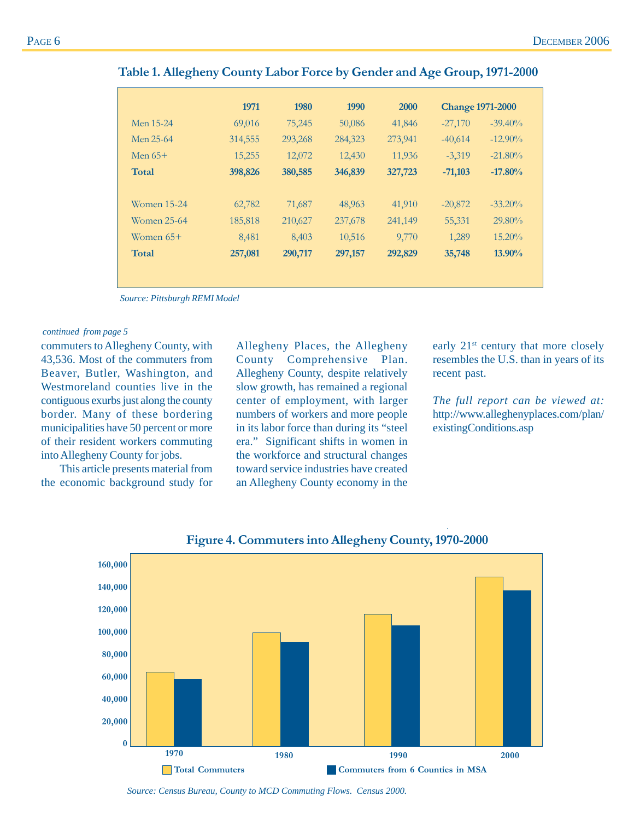|             | 1971    | 1980    | 1990    | 2000    | <b>Change 1971-2000</b> |            |
|-------------|---------|---------|---------|---------|-------------------------|------------|
| Men 15-24   | 69,016  | 75,245  | 50,086  | 41,846  | $-27,170$               | $-39.40\%$ |
| Men 25-64   | 314,555 | 293,268 | 284,323 | 273,941 | $-40,614$               | $-12.90\%$ |
| Men $65+$   | 15,255  | 12,072  | 12,430  | 11,936  | $-3,319$                | $-21.80\%$ |
| Total       | 398,826 | 380,585 | 346,839 | 327,723 | $-71,103$               | $-17.80%$  |
| Women 15-24 | 62,782  | 71,687  | 48,963  | 41,910  | $-20,872$               | $-33.20\%$ |
| Women 25-64 | 185,818 | 210,627 | 237,678 | 241,149 | 55,331                  | $29.80\%$  |
| Women $65+$ | 8,481   | 8,403   | 10,516  | 9,770   | 1,289                   | 15.20%     |
| Total       | 257,081 | 290,717 | 297,157 | 292,829 | 35,748                  | 13.90%     |

#### **Table 1. Allegheny County Labor Force by Gender and Age Group, 1971-2000**

*Source: Pittsburgh REMI Model*

#### *continued from page 5*

commuters to Allegheny County, with 43,536. Most of the commuters from Beaver, Butler, Washington, and Westmoreland counties live in the contiguous exurbs just along the county border. Many of these bordering municipalities have 50 percent or more of their resident workers commuting into Allegheny County for jobs.

This article presents material from the economic background study for

Allegheny Places, the Allegheny County Comprehensive Plan. Allegheny County, despite relatively slow growth, has remained a regional center of employment, with larger numbers of workers and more people in its labor force than during its "steel era." Significant shifts in women in the workforce and structural changes toward service industries have created an Allegheny County economy in the

early 21<sup>st</sup> century that more closely resembles the U.S. than in years of its recent past.

*The full report can be viewed at:* http://www.alleghenyplaces.com/plan/ existingConditions.asp



#### **Figure 4. Commuters into Allegheny County, 1970-2000**

*Source: Census Bureau, County to MCD Commuting Flows. Census 2000.*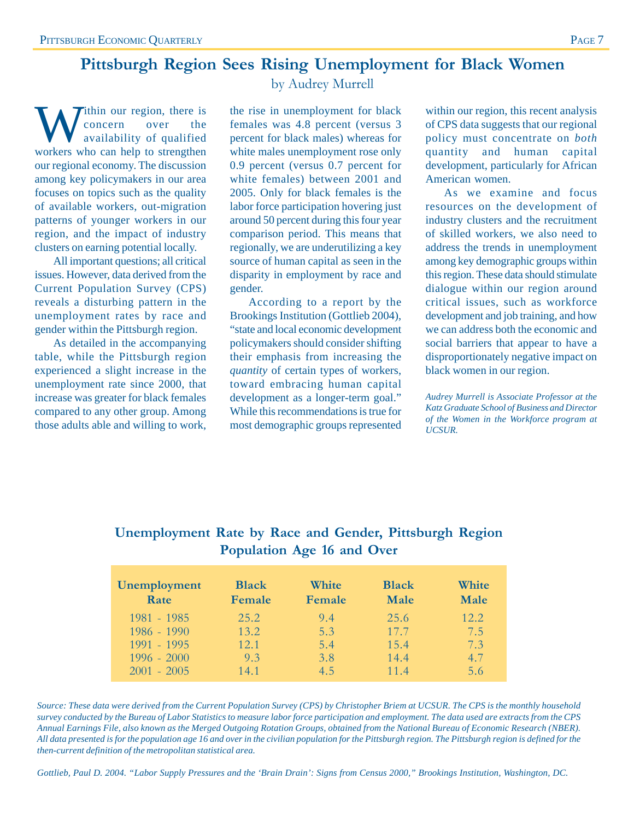### **Pittsburgh Region Sees Rising Unemployment for Black Women**

Within our region, there is<br>
availability of qualified<br>
workers who can help to strengthen concern over the workers who can help to strengthen our regional economy. The discussion among key policymakers in our area focuses on topics such as the quality of available workers, out-migration patterns of younger workers in our region, and the impact of industry clusters on earning potential locally.

All important questions; all critical issues. However, data derived from the Current Population Survey (CPS) reveals a disturbing pattern in the unemployment rates by race and gender within the Pittsburgh region.

As detailed in the accompanying table, while the Pittsburgh region experienced a slight increase in the unemployment rate since 2000, that increase was greater for black females compared to any other group. Among those adults able and willing to work, by Audrey Murrell

the rise in unemployment for black females was 4.8 percent (versus 3 percent for black males) whereas for white males unemployment rose only 0.9 percent (versus 0.7 percent for white females) between 2001 and 2005. Only for black females is the labor force participation hovering just around 50 percent during this four year comparison period. This means that regionally, we are underutilizing a key source of human capital as seen in the disparity in employment by race and gender.

According to a report by the Brookings Institution (Gottlieb 2004), "state and local economic development policymakers should consider shifting their emphasis from increasing the *quantity* of certain types of workers, toward embracing human capital development as a longer-term goal." While this recommendations is true for most demographic groups represented

within our region, this recent analysis of CPS data suggests that our regional policy must concentrate on *both* quantity and human capital development, particularly for African American women.

As we examine and focus resources on the development of industry clusters and the recruitment of skilled workers, we also need to address the trends in unemployment among key demographic groups within this region. These data should stimulate dialogue within our region around critical issues, such as workforce development and job training, and how we can address both the economic and social barriers that appear to have a disproportionately negative impact on black women in our region.

*Audrey Murrell is Associate Professor at the Katz Graduate School of Business and Director of the Women in the Workforce program at UCSUR.*

| Population Age 16 and Over |              |        |              |       |  |  |
|----------------------------|--------------|--------|--------------|-------|--|--|
| <b>Unemployment</b>        | <b>Black</b> | White  | <b>Black</b> | White |  |  |
| Rate                       | Female       | Female | <b>Male</b>  | Male  |  |  |

1981 - 1985 25.2 9.4 25.6 12.2 1986 - 1990 13.2 5.3 17.7 7.5<br>1991 - 1995 12.1 5.4 15.4 7.3

1996 - 2000 9.3 3.8 14.4 4.7 2001 - 2005 14.1 4.5 11.4 5.6

1991 - 1995 12.1 5.4 15.4

### **Unemployment Rate by Race and Gender, Pittsburgh Region Population Age 16 and Over**

*Source: These data were derived from the Current Population Survey (CPS) by Christopher Briem at UCSUR. The CPS is the monthly household survey conducted by the Bureau of Labor Statistics to measure labor force participation and employment. The data used are extracts from the CPS Annual Earnings File, also known as the Merged Outgoing Rotation Groups, obtained from the National Bureau of Economic Research (NBER). All data presented is for the population age 16 and over in the civilian population for the Pittsburgh region. The Pittsburgh region is defined for the then-current definition of the metropolitan statistical area.*

*Gottlieb, Paul D. 2004. "Labor Supply Pressures and the 'Brain Drain': Signs from Census 2000," Brookings Institution, Washington, DC.*